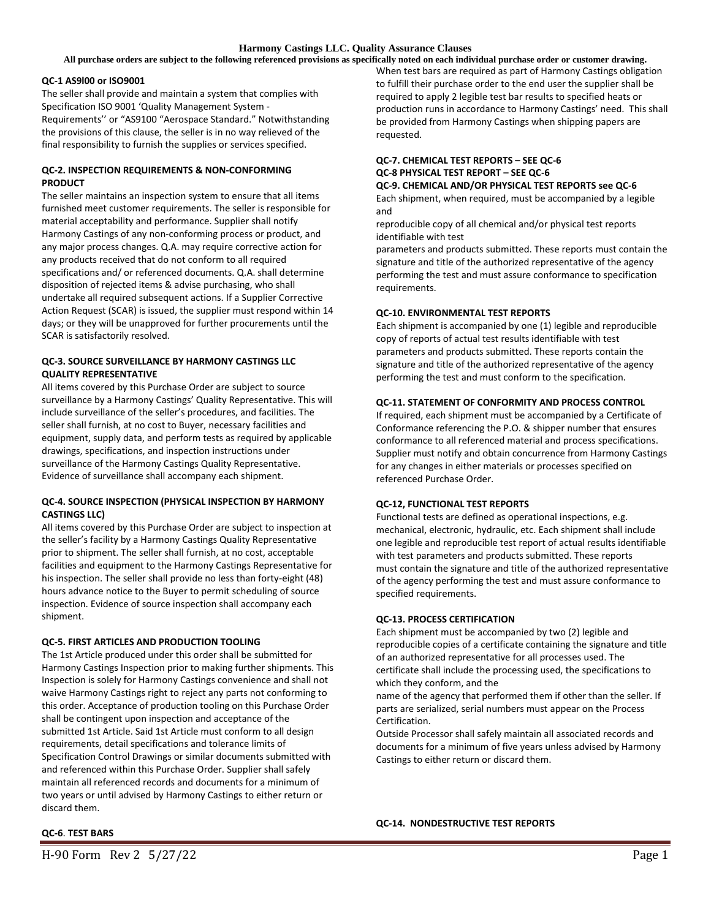**All purchase orders are subject to the following referenced provisions as specifically noted on each individual purchase order or customer drawing.**

#### **QC-1 AS9l00 or ISO9001**

The seller shall provide and maintain a system that complies with Specification ISO 9001 'Quality Management System - Requirements'' or "AS9100 "Aerospace Standard." Notwithstanding the provisions of this clause, the seller is in no way relieved of the final responsibility to furnish the supplies or services specified.

### **QC-2. INSPECTION REQUIREMENTS & NON-CONFORMING PRODUCT**

The seller maintains an inspection system to ensure that all items furnished meet customer requirements. The seller is responsible for material acceptability and performance. Supplier shall notify Harmony Castings of any non-conforming process or product, and any major process changes. Q.A. may require corrective action for any products received that do not conform to all required specifications and/ or referenced documents. Q.A. shall determine disposition of rejected items & advise purchasing, who shall undertake all required subsequent actions. If a Supplier Corrective Action Request (SCAR) is issued, the supplier must respond within 14 days; or they will be unapproved for further procurements until the SCAR is satisfactorily resolved.

## **QC-3. SOURCE SURVEILLANCE BY HARMONY CASTINGS LLC QUALITY REPRESENTATIVE**

All items covered by this Purchase Order are subject to source surveillance by a Harmony Castings' Quality Representative. This will include surveillance of the seller's procedures, and facilities. The seller shall furnish, at no cost to Buyer, necessary facilities and equipment, supply data, and perform tests as required by applicable drawings, specifications, and inspection instructions under surveillance of the Harmony Castings Quality Representative. Evidence of surveillance shall accompany each shipment.

## **QC-4. SOURCE INSPECTION (PHYSICAL INSPECTION BY HARMONY CASTINGS LLC)**

All items covered by this Purchase Order are subject to inspection at the seller's facility by a Harmony Castings Quality Representative prior to shipment. The seller shall furnish, at no cost, acceptable facilities and equipment to the Harmony Castings Representative for his inspection. The seller shall provide no less than forty-eight (48) hours advance notice to the Buyer to permit scheduling of source inspection. Evidence of source inspection shall accompany each shipment.

## **QC-5. FIRST ARTICLES AND PRODUCTION TOOLING**

The 1st Article produced under this order shall be submitted for Harmony Castings Inspection prior to making further shipments. This Inspection is solely for Harmony Castings convenience and shall not waive Harmony Castings right to reject any parts not conforming to this order. Acceptance of production tooling on this Purchase Order shall be contingent upon inspection and acceptance of the submitted 1st Article. Said 1st Article must conform to all design requirements, detail specifications and tolerance limits of Specification Control Drawings or similar documents submitted with and referenced within this Purchase Order. Supplier shall safely maintain all referenced records and documents for a minimum of two years or until advised by Harmony Castings to either return or discard them.

When test bars are required as part of Harmony Castings obligation to fulfill their purchase order to the end user the supplier shall be required to apply 2 legible test bar results to specified heats or production runs in accordance to Harmony Castings' need. This shall be provided from Harmony Castings when shipping papers are requested.

#### **QC-7. CHEMICAL TEST REPORTS – SEE QC-6 QC-8 PHYSICAL TEST REPORT – SEE QC-6 QC-9. CHEMICAL AND/OR PHYSICAL TEST REPORTS see QC-6**

Each shipment, when required, must be accompanied by a legible and

reproducible copy of all chemical and/or physical test reports identifiable with test

parameters and products submitted. These reports must contain the signature and title of the authorized representative of the agency performing the test and must assure conformance to specification requirements.

## **QC-10. ENVIRONMENTAL TEST REPORTS**

Each shipment is accompanied by one (1) legible and reproducible copy of reports of actual test results identifiable with test parameters and products submitted. These reports contain the signature and title of the authorized representative of the agency performing the test and must conform to the specification.

## **QC-11. STATEMENT OF CONFORMITY AND PROCESS CONTROL**

If required, each shipment must be accompanied by a Certificate of Conformance referencing the P.O. & shipper number that ensures conformance to all referenced material and process specifications. Supplier must notify and obtain concurrence from Harmony Castings for any changes in either materials or processes specified on referenced Purchase Order.

## **QC-12, FUNCTIONAL TEST REPORTS**

Functional tests are defined as operational inspections, e.g. mechanical, electronic, hydraulic, etc. Each shipment shall include one legible and reproducible test report of actual results identifiable with test parameters and products submitted. These reports must contain the signature and title of the authorized representative of the agency performing the test and must assure conformance to specified requirements.

## **QC-13. PROCESS CERTIFICATION**

Each shipment must be accompanied by two (2) legible and reproducible copies of a certificate containing the signature and title of an authorized representative for all processes used. The certificate shall include the processing used, the specifications to which they conform, and the

name of the agency that performed them if other than the seller. If parts are serialized, serial numbers must appear on the Process Certification.

Outside Processor shall safely maintain all associated records and documents for a minimum of five years unless advised by Harmony Castings to either return or discard them.

#### **QC-14. NONDESTRUCTIVE TEST REPORTS**